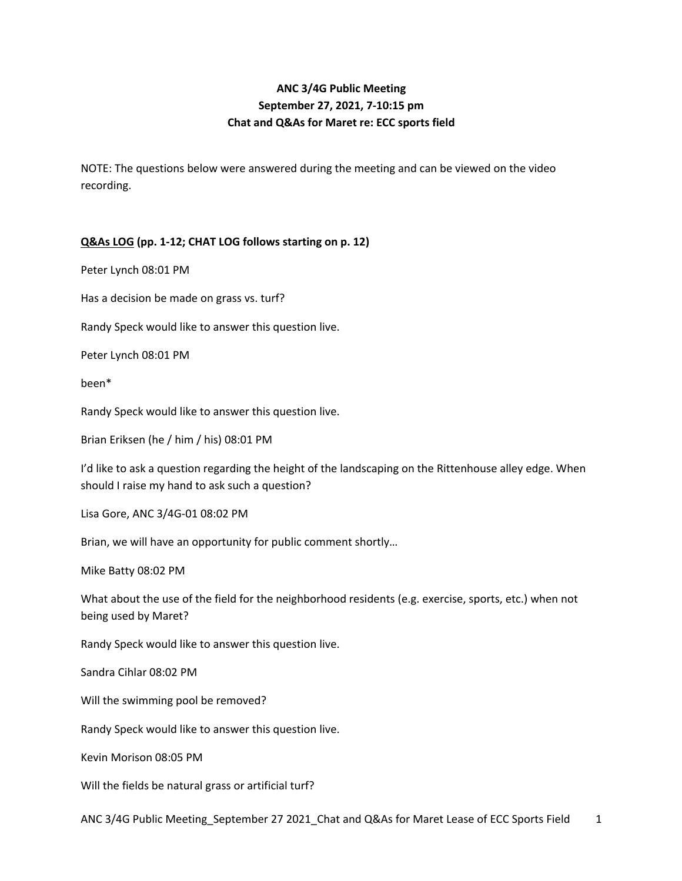# **ANC 3/4G Public Meeting September 27, 2021, 7-10:15 pm Chat and Q&As for Maret re: ECC sports field**

NOTE: The questions below were answered during the meeting and can be viewed on the video recording.

# **Q&As LOG (pp. 1-12; CHAT LOG follows starting on p. 12)**

Peter Lynch 08:01 PM

Has a decision be made on grass vs. turf?

Randy Speck would like to answer this question live.

Peter Lynch 08:01 PM

been\*

Randy Speck would like to answer this question live.

Brian Eriksen (he / him / his) 08:01 PM

I'd like to ask a question regarding the height of the landscaping on the Rittenhouse alley edge. When should I raise my hand to ask such a question?

Lisa Gore, ANC 3/4G-01 08:02 PM

Brian, we will have an opportunity for public comment shortly…

Mike Batty 08:02 PM

What about the use of the field for the neighborhood residents (e.g. exercise, sports, etc.) when not being used by Maret?

Randy Speck would like to answer this question live.

Sandra Cihlar 08:02 PM

Will the swimming pool be removed?

Randy Speck would like to answer this question live.

Kevin Morison 08:05 PM

Will the fields be natural grass or artificial turf?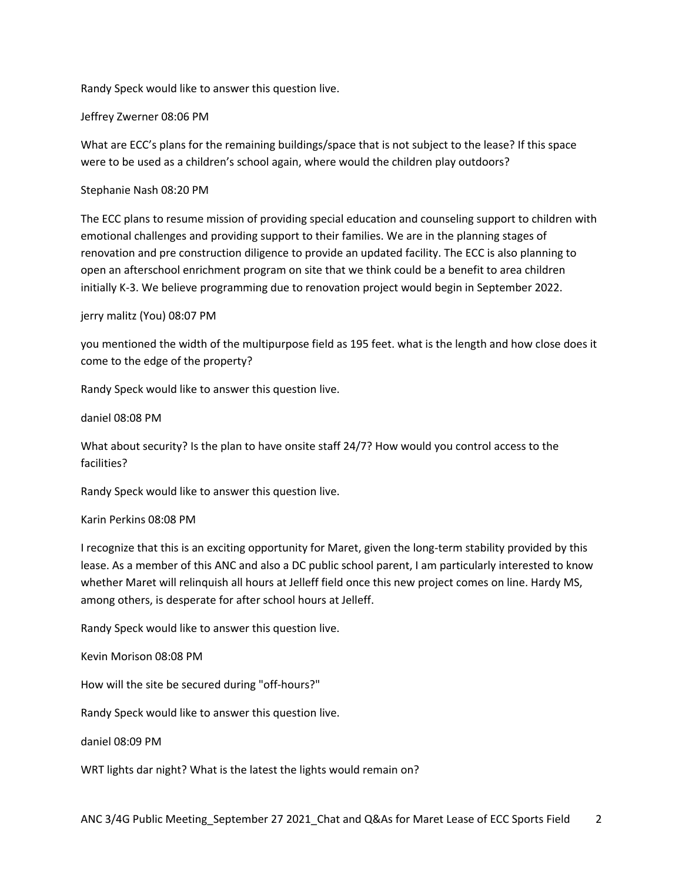Randy Speck would like to answer this question live.

Jeffrey Zwerner 08:06 PM

What are ECC's plans for the remaining buildings/space that is not subject to the lease? If this space were to be used as a children's school again, where would the children play outdoors?

Stephanie Nash 08:20 PM

The ECC plans to resume mission of providing special education and counseling support to children with emotional challenges and providing support to their families. We are in the planning stages of renovation and pre construction diligence to provide an updated facility. The ECC is also planning to open an afterschool enrichment program on site that we think could be a benefit to area children initially K-3. We believe programming due to renovation project would begin in September 2022.

# jerry malitz (You) 08:07 PM

you mentioned the width of the multipurpose field as 195 feet. what is the length and how close does it come to the edge of the property?

Randy Speck would like to answer this question live.

daniel 08:08 PM

What about security? Is the plan to have onsite staff 24/7? How would you control access to the facilities?

Randy Speck would like to answer this question live.

Karin Perkins 08:08 PM

I recognize that this is an exciting opportunity for Maret, given the long-term stability provided by this lease. As a member of this ANC and also a DC public school parent, I am particularly interested to know whether Maret will relinquish all hours at Jelleff field once this new project comes on line. Hardy MS, among others, is desperate for after school hours at Jelleff.

Randy Speck would like to answer this question live.

Kevin Morison 08:08 PM

How will the site be secured during "off-hours?"

Randy Speck would like to answer this question live.

daniel 08:09 PM

WRT lights dar night? What is the latest the lights would remain on?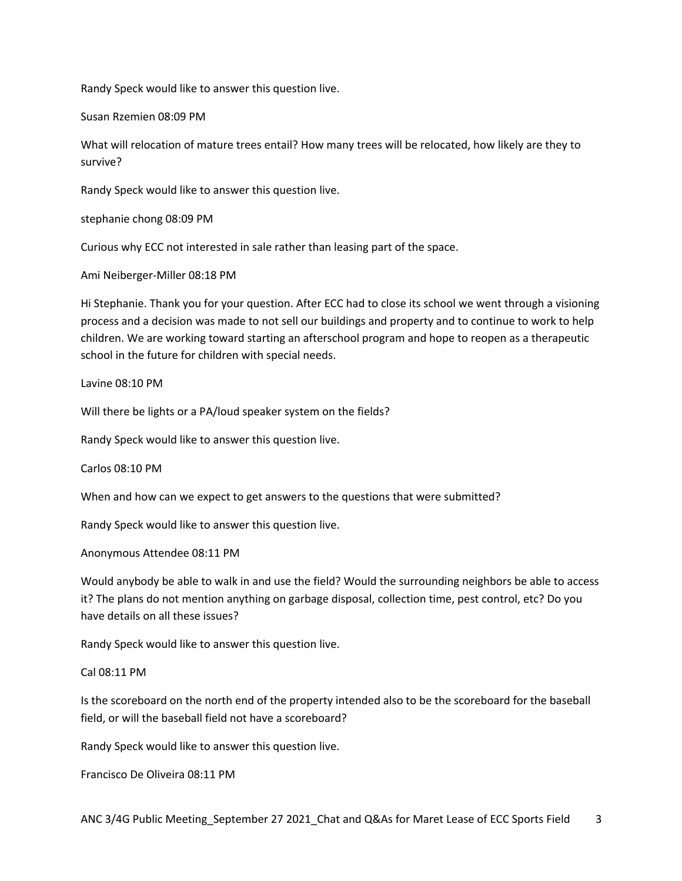Randy Speck would like to answer this question live.

Susan Rzemien 08:09 PM

What will relocation of mature trees entail? How many trees will be relocated, how likely are they to survive?

Randy Speck would like to answer this question live.

stephanie chong 08:09 PM

Curious why ECC not interested in sale rather than leasing part of the space.

Ami Neiberger-Miller 08:18 PM

Hi Stephanie. Thank you for your question. After ECC had to close its school we went through a visioning process and a decision was made to not sell our buildings and property and to continue to work to help children. We are working toward starting an afterschool program and hope to reopen as a therapeutic school in the future for children with special needs.

Lavine 08:10 PM

Will there be lights or a PA/loud speaker system on the fields?

Randy Speck would like to answer this question live.

Carlos 08:10 PM

When and how can we expect to get answers to the questions that were submitted?

Randy Speck would like to answer this question live.

Anonymous Attendee 08:11 PM

Would anybody be able to walk in and use the field? Would the surrounding neighbors be able to access it? The plans do not mention anything on garbage disposal, collection time, pest control, etc? Do you have details on all these issues?

Randy Speck would like to answer this question live.

#### Cal 08:11 PM

Is the scoreboard on the north end of the property intended also to be the scoreboard for the baseball field, or will the baseball field not have a scoreboard?

Randy Speck would like to answer this question live.

Francisco De Oliveira 08:11 PM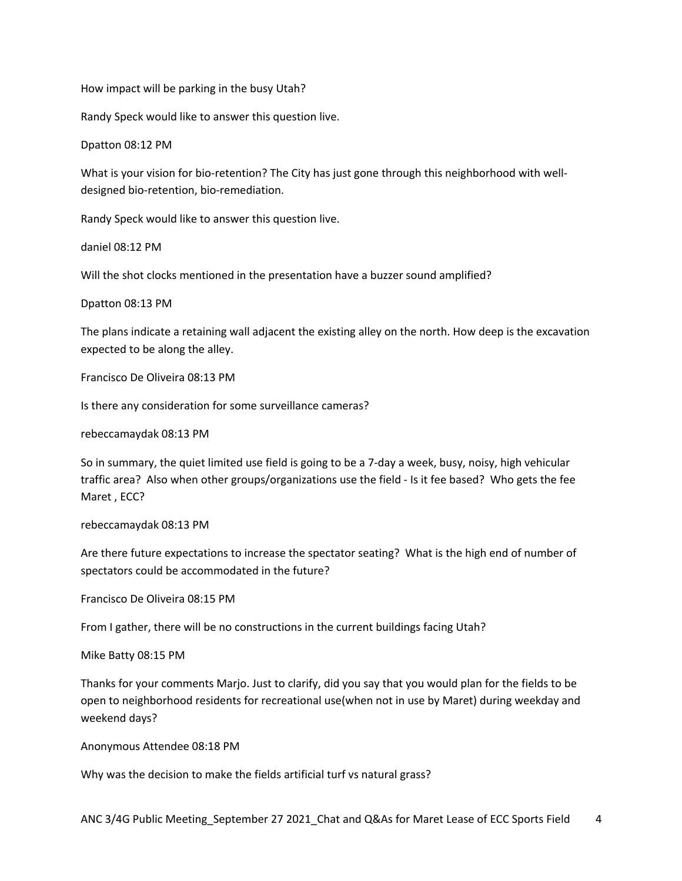How impact will be parking in the busy Utah?

Randy Speck would like to answer this question live.

Dpatton 08:12 PM

What is your vision for bio-retention? The City has just gone through this neighborhood with welldesigned bio-retention, bio-remediation.

Randy Speck would like to answer this question live.

daniel 08:12 PM

Will the shot clocks mentioned in the presentation have a buzzer sound amplified?

Dpatton 08:13 PM

The plans indicate a retaining wall adjacent the existing alley on the north. How deep is the excavation expected to be along the alley.

Francisco De Oliveira 08:13 PM

Is there any consideration for some surveillance cameras?

rebeccamaydak 08:13 PM

So in summary, the quiet limited use field is going to be a 7-day a week, busy, noisy, high vehicular traffic area? Also when other groups/organizations use the field - Is it fee based? Who gets the fee Maret , ECC?

rebeccamaydak 08:13 PM

Are there future expectations to increase the spectator seating? What is the high end of number of spectators could be accommodated in the future?

Francisco De Oliveira 08:15 PM

From I gather, there will be no constructions in the current buildings facing Utah?

Mike Batty 08:15 PM

Thanks for your comments Marjo. Just to clarify, did you say that you would plan for the fields to be open to neighborhood residents for recreational use(when not in use by Maret) during weekday and weekend days?

Anonymous Attendee 08:18 PM

Why was the decision to make the fields artificial turf vs natural grass?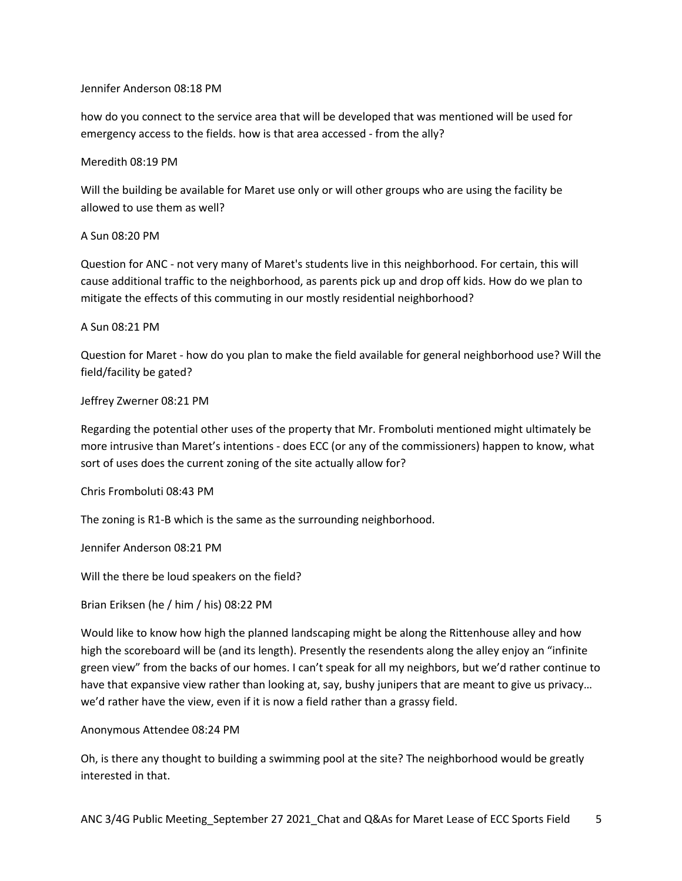# Jennifer Anderson 08:18 PM

how do you connect to the service area that will be developed that was mentioned will be used for emergency access to the fields. how is that area accessed - from the ally?

# Meredith 08:19 PM

Will the building be available for Maret use only or will other groups who are using the facility be allowed to use them as well?

# A Sun 08:20 PM

Question for ANC - not very many of Maret's students live in this neighborhood. For certain, this will cause additional traffic to the neighborhood, as parents pick up and drop off kids. How do we plan to mitigate the effects of this commuting in our mostly residential neighborhood?

# A Sun 08:21 PM

Question for Maret - how do you plan to make the field available for general neighborhood use? Will the field/facility be gated?

# Jeffrey Zwerner 08:21 PM

Regarding the potential other uses of the property that Mr. Fromboluti mentioned might ultimately be more intrusive than Maret's intentions - does ECC (or any of the commissioners) happen to know, what sort of uses does the current zoning of the site actually allow for?

# Chris Fromboluti 08:43 PM

The zoning is R1-B which is the same as the surrounding neighborhood.

Jennifer Anderson 08:21 PM

Will the there be loud speakers on the field?

# Brian Eriksen (he / him / his) 08:22 PM

Would like to know how high the planned landscaping might be along the Rittenhouse alley and how high the scoreboard will be (and its length). Presently the resendents along the alley enjoy an "infinite green view" from the backs of our homes. I can't speak for all my neighbors, but we'd rather continue to have that expansive view rather than looking at, say, bushy junipers that are meant to give us privacy… we'd rather have the view, even if it is now a field rather than a grassy field.

#### Anonymous Attendee 08:24 PM

Oh, is there any thought to building a swimming pool at the site? The neighborhood would be greatly interested in that.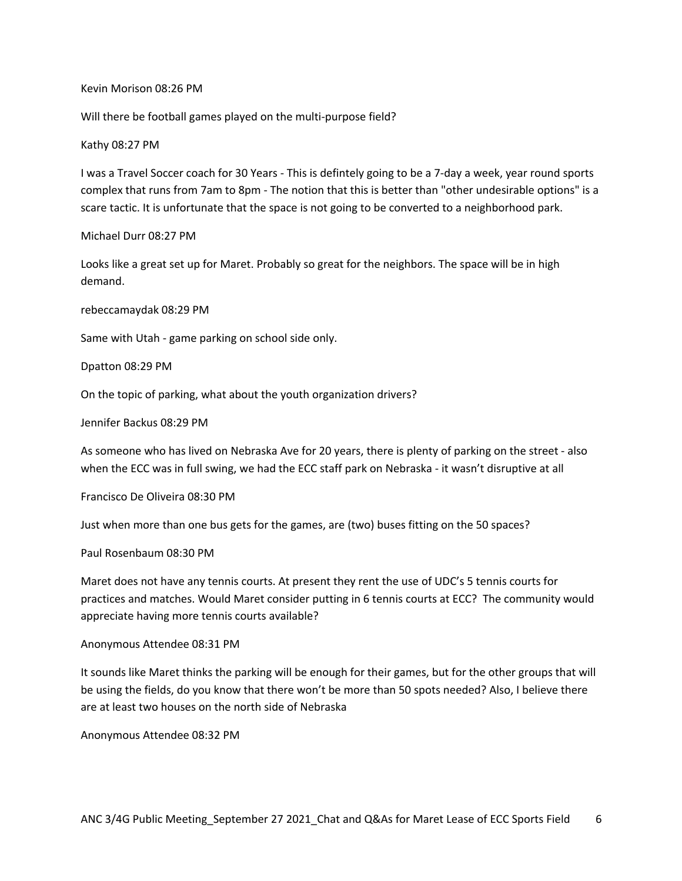#### Kevin Morison 08:26 PM

Will there be football games played on the multi-purpose field?

#### Kathy 08:27 PM

I was a Travel Soccer coach for 30 Years - This is defintely going to be a 7-day a week, year round sports complex that runs from 7am to 8pm - The notion that this is better than "other undesirable options" is a scare tactic. It is unfortunate that the space is not going to be converted to a neighborhood park.

Michael Durr 08:27 PM

Looks like a great set up for Maret. Probably so great for the neighbors. The space will be in high demand.

rebeccamaydak 08:29 PM

Same with Utah - game parking on school side only.

Dpatton 08:29 PM

On the topic of parking, what about the youth organization drivers?

Jennifer Backus 08:29 PM

As someone who has lived on Nebraska Ave for 20 years, there is plenty of parking on the street - also when the ECC was in full swing, we had the ECC staff park on Nebraska - it wasn't disruptive at all

Francisco De Oliveira 08:30 PM

Just when more than one bus gets for the games, are (two) buses fitting on the 50 spaces?

Paul Rosenbaum 08:30 PM

Maret does not have any tennis courts. At present they rent the use of UDC's 5 tennis courts for practices and matches. Would Maret consider putting in 6 tennis courts at ECC? The community would appreciate having more tennis courts available?

Anonymous Attendee 08:31 PM

It sounds like Maret thinks the parking will be enough for their games, but for the other groups that will be using the fields, do you know that there won't be more than 50 spots needed? Also, I believe there are at least two houses on the north side of Nebraska

Anonymous Attendee 08:32 PM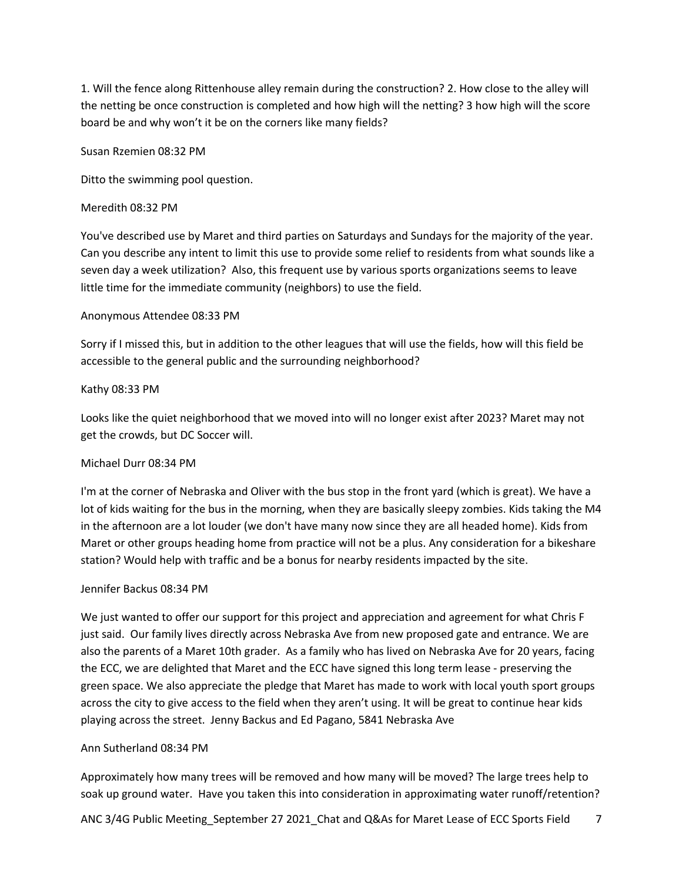1. Will the fence along Rittenhouse alley remain during the construction? 2. How close to the alley will the netting be once construction is completed and how high will the netting? 3 how high will the score board be and why won't it be on the corners like many fields?

Susan Rzemien 08:32 PM

Ditto the swimming pool question.

### Meredith 08:32 PM

You've described use by Maret and third parties on Saturdays and Sundays for the majority of the year. Can you describe any intent to limit this use to provide some relief to residents from what sounds like a seven day a week utilization? Also, this frequent use by various sports organizations seems to leave little time for the immediate community (neighbors) to use the field.

# Anonymous Attendee 08:33 PM

Sorry if I missed this, but in addition to the other leagues that will use the fields, how will this field be accessible to the general public and the surrounding neighborhood?

# Kathy 08:33 PM

Looks like the quiet neighborhood that we moved into will no longer exist after 2023? Maret may not get the crowds, but DC Soccer will.

#### Michael Durr 08:34 PM

I'm at the corner of Nebraska and Oliver with the bus stop in the front yard (which is great). We have a lot of kids waiting for the bus in the morning, when they are basically sleepy zombies. Kids taking the M4 in the afternoon are a lot louder (we don't have many now since they are all headed home). Kids from Maret or other groups heading home from practice will not be a plus. Any consideration for a bikeshare station? Would help with traffic and be a bonus for nearby residents impacted by the site.

#### Jennifer Backus 08:34 PM

We just wanted to offer our support for this project and appreciation and agreement for what Chris F just said. Our family lives directly across Nebraska Ave from new proposed gate and entrance. We are also the parents of a Maret 10th grader. As a family who has lived on Nebraska Ave for 20 years, facing the ECC, we are delighted that Maret and the ECC have signed this long term lease - preserving the green space. We also appreciate the pledge that Maret has made to work with local youth sport groups across the city to give access to the field when they aren't using. It will be great to continue hear kids playing across the street. Jenny Backus and Ed Pagano, 5841 Nebraska Ave

#### Ann Sutherland 08:34 PM

Approximately how many trees will be removed and how many will be moved? The large trees help to soak up ground water. Have you taken this into consideration in approximating water runoff/retention?

ANC 3/4G Public Meeting\_September 27 2021\_Chat and Q&As for Maret Lease of ECC Sports Field 7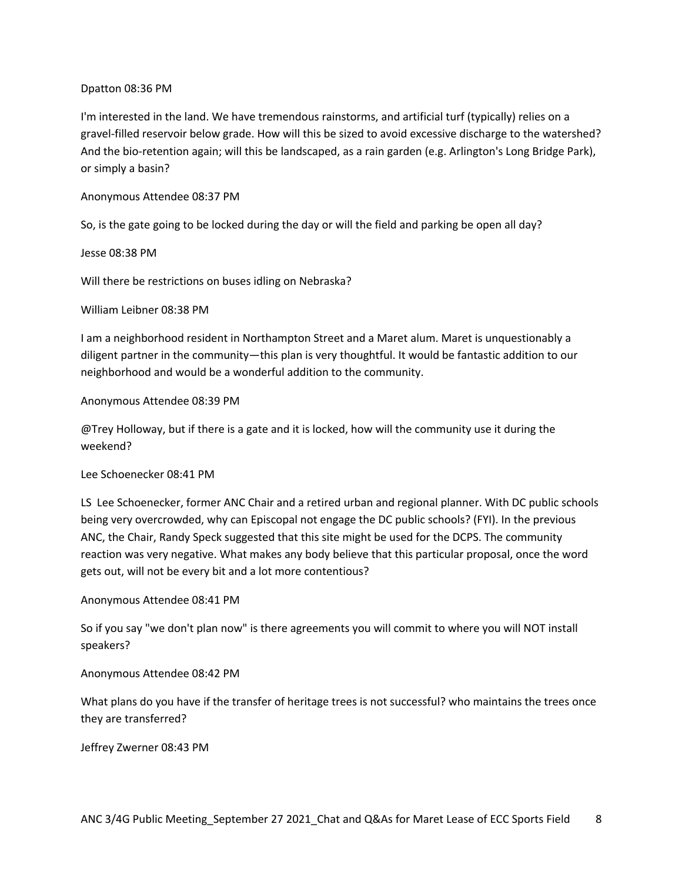# Dpatton 08:36 PM

I'm interested in the land. We have tremendous rainstorms, and artificial turf (typically) relies on a gravel-filled reservoir below grade. How will this be sized to avoid excessive discharge to the watershed? And the bio-retention again; will this be landscaped, as a rain garden (e.g. Arlington's Long Bridge Park), or simply a basin?

# Anonymous Attendee 08:37 PM

So, is the gate going to be locked during the day or will the field and parking be open all day?

Jesse 08:38 PM

Will there be restrictions on buses idling on Nebraska?

# William Leibner 08:38 PM

I am a neighborhood resident in Northampton Street and a Maret alum. Maret is unquestionably a diligent partner in the community—this plan is very thoughtful. It would be fantastic addition to our neighborhood and would be a wonderful addition to the community.

# Anonymous Attendee 08:39 PM

@Trey Holloway, but if there is a gate and it is locked, how will the community use it during the weekend?

#### Lee Schoenecker 08:41 PM

LS Lee Schoenecker, former ANC Chair and a retired urban and regional planner. With DC public schools being very overcrowded, why can Episcopal not engage the DC public schools? (FYI). In the previous ANC, the Chair, Randy Speck suggested that this site might be used for the DCPS. The community reaction was very negative. What makes any body believe that this particular proposal, once the word gets out, will not be every bit and a lot more contentious?

# Anonymous Attendee 08:41 PM

So if you say "we don't plan now" is there agreements you will commit to where you will NOT install speakers?

# Anonymous Attendee 08:42 PM

What plans do you have if the transfer of heritage trees is not successful? who maintains the trees once they are transferred?

Jeffrey Zwerner 08:43 PM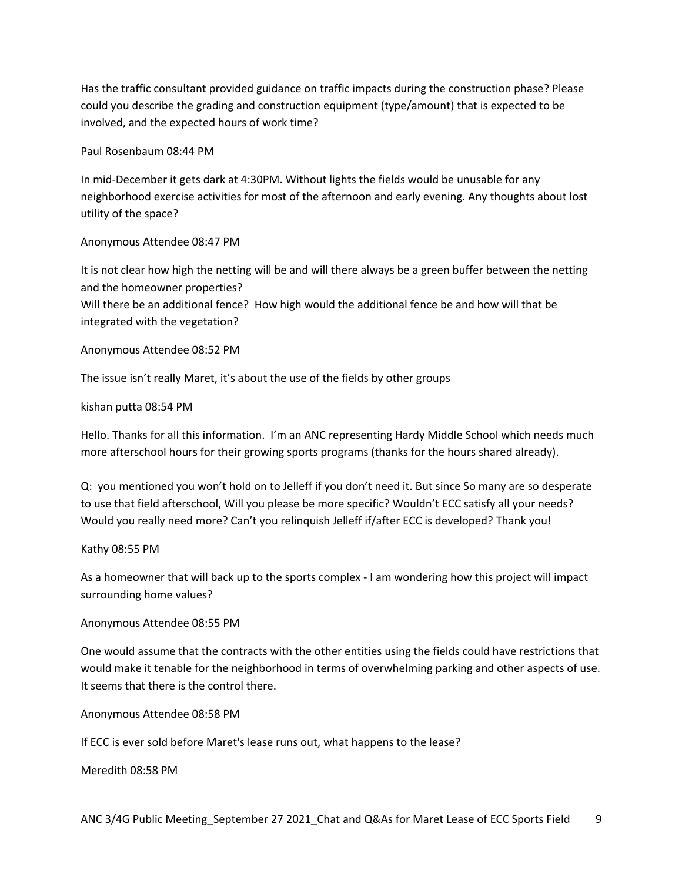Has the traffic consultant provided guidance on traffic impacts during the construction phase? Please could you describe the grading and construction equipment (type/amount) that is expected to be involved, and the expected hours of work time?

Paul Rosenbaum 08:44 PM

In mid-December it gets dark at 4:30PM. Without lights the fields would be unusable for any neighborhood exercise activities for most of the afternoon and early evening. Any thoughts about lost utility of the space?

Anonymous Attendee 08:47 PM

It is not clear how high the netting will be and will there always be a green buffer between the netting and the homeowner properties?

Will there be an additional fence? How high would the additional fence be and how will that be integrated with the vegetation?

Anonymous Attendee 08:52 PM

The issue isn't really Maret, it's about the use of the fields by other groups

kishan putta 08:54 PM

Hello. Thanks for all this information. I'm an ANC representing Hardy Middle School which needs much more afterschool hours for their growing sports programs (thanks for the hours shared already).

Q: you mentioned you won't hold on to Jelleff if you don't need it. But since So many are so desperate to use that field afterschool, Will you please be more specific? Wouldn't ECC satisfy all your needs? Would you really need more? Can't you relinquish Jelleff if/after ECC is developed? Thank you!

Kathy 08:55 PM

As a homeowner that will back up to the sports complex - I am wondering how this project will impact surrounding home values?

Anonymous Attendee 08:55 PM

One would assume that the contracts with the other entities using the fields could have restrictions that would make it tenable for the neighborhood in terms of overwhelming parking and other aspects of use. It seems that there is the control there.

Anonymous Attendee 08:58 PM

If ECC is ever sold before Maret's lease runs out, what happens to the lease?

Meredith 08:58 PM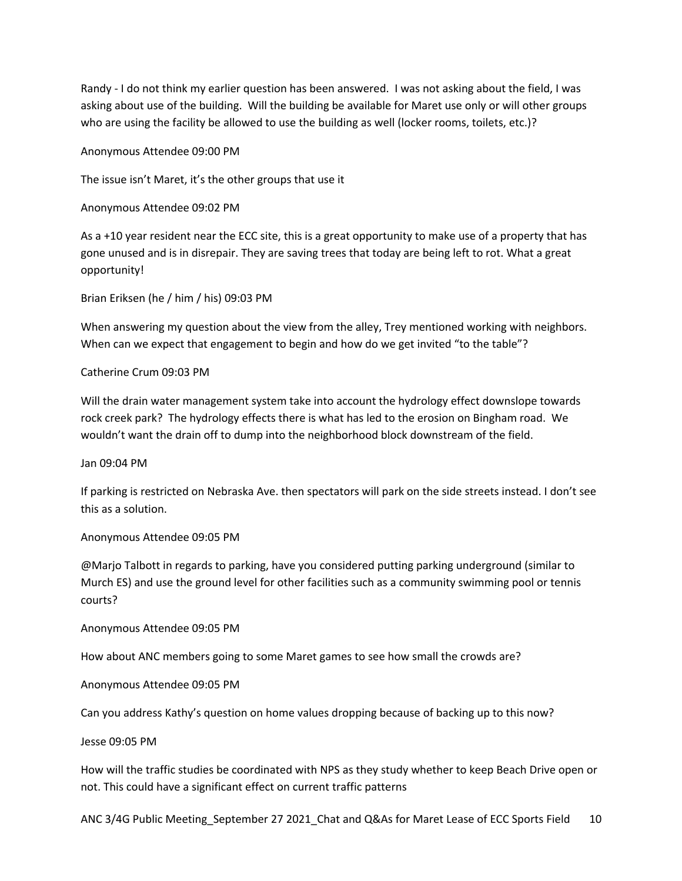Randy - I do not think my earlier question has been answered. I was not asking about the field, I was asking about use of the building. Will the building be available for Maret use only or will other groups who are using the facility be allowed to use the building as well (locker rooms, toilets, etc.)?

Anonymous Attendee 09:00 PM

The issue isn't Maret, it's the other groups that use it

Anonymous Attendee 09:02 PM

As a +10 year resident near the ECC site, this is a great opportunity to make use of a property that has gone unused and is in disrepair. They are saving trees that today are being left to rot. What a great opportunity!

Brian Eriksen (he / him / his) 09:03 PM

When answering my question about the view from the alley, Trey mentioned working with neighbors. When can we expect that engagement to begin and how do we get invited "to the table"?

Catherine Crum 09:03 PM

Will the drain water management system take into account the hydrology effect downslope towards rock creek park? The hydrology effects there is what has led to the erosion on Bingham road. We wouldn't want the drain off to dump into the neighborhood block downstream of the field.

Jan 09:04 PM

If parking is restricted on Nebraska Ave. then spectators will park on the side streets instead. I don't see this as a solution.

Anonymous Attendee 09:05 PM

@Marjo Talbott in regards to parking, have you considered putting parking underground (similar to Murch ES) and use the ground level for other facilities such as a community swimming pool or tennis courts?

Anonymous Attendee 09:05 PM

How about ANC members going to some Maret games to see how small the crowds are?

Anonymous Attendee 09:05 PM

Can you address Kathy's question on home values dropping because of backing up to this now?

Jesse 09:05 PM

How will the traffic studies be coordinated with NPS as they study whether to keep Beach Drive open or not. This could have a significant effect on current traffic patterns

ANC 3/4G Public Meeting\_September 27 2021\_Chat and Q&As for Maret Lease of ECC Sports Field 10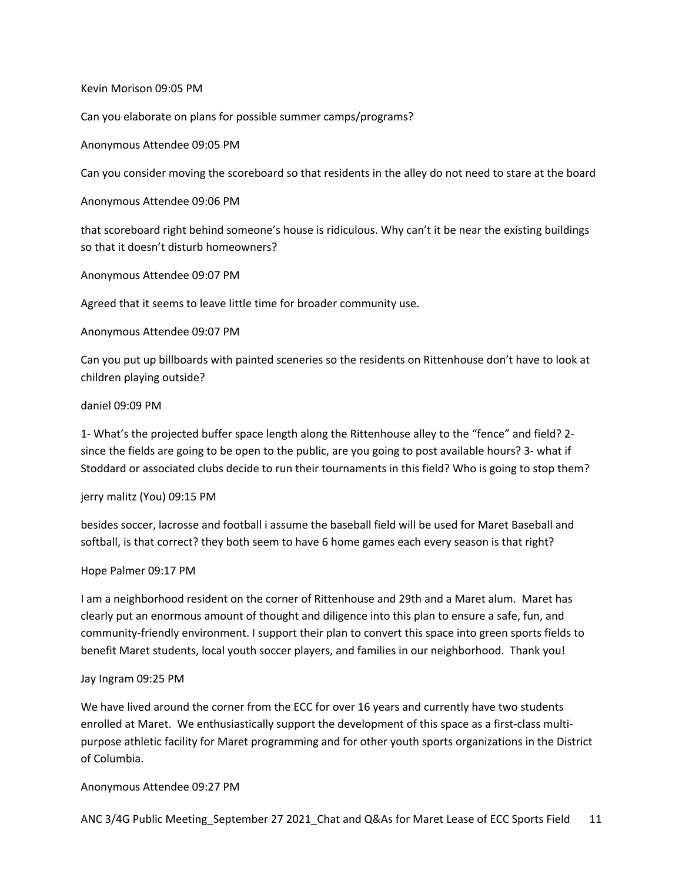Kevin Morison 09:05 PM

Can you elaborate on plans for possible summer camps/programs?

Anonymous Attendee 09:05 PM

Can you consider moving the scoreboard so that residents in the alley do not need to stare at the board

Anonymous Attendee 09:06 PM

that scoreboard right behind someone's house is ridiculous. Why can't it be near the existing buildings so that it doesn't disturb homeowners?

Anonymous Attendee 09:07 PM

Agreed that it seems to leave little time for broader community use.

Anonymous Attendee 09:07 PM

Can you put up billboards with painted sceneries so the residents on Rittenhouse don't have to look at children playing outside?

# daniel 09:09 PM

1- What's the projected buffer space length along the Rittenhouse alley to the "fence" and field? 2 since the fields are going to be open to the public, are you going to post available hours? 3- what if Stoddard or associated clubs decide to run their tournaments in this field? Who is going to stop them?

#### jerry malitz (You) 09:15 PM

besides soccer, lacrosse and football i assume the baseball field will be used for Maret Baseball and softball, is that correct? they both seem to have 6 home games each every season is that right?

#### Hope Palmer 09:17 PM

I am a neighborhood resident on the corner of Rittenhouse and 29th and a Maret alum. Maret has clearly put an enormous amount of thought and diligence into this plan to ensure a safe, fun, and community-friendly environment. I support their plan to convert this space into green sports fields to benefit Maret students, local youth soccer players, and families in our neighborhood. Thank you!

#### Jay Ingram 09:25 PM

We have lived around the corner from the ECC for over 16 years and currently have two students enrolled at Maret. We enthusiastically support the development of this space as a first-class multipurpose athletic facility for Maret programming and for other youth sports organizations in the District of Columbia.

#### Anonymous Attendee 09:27 PM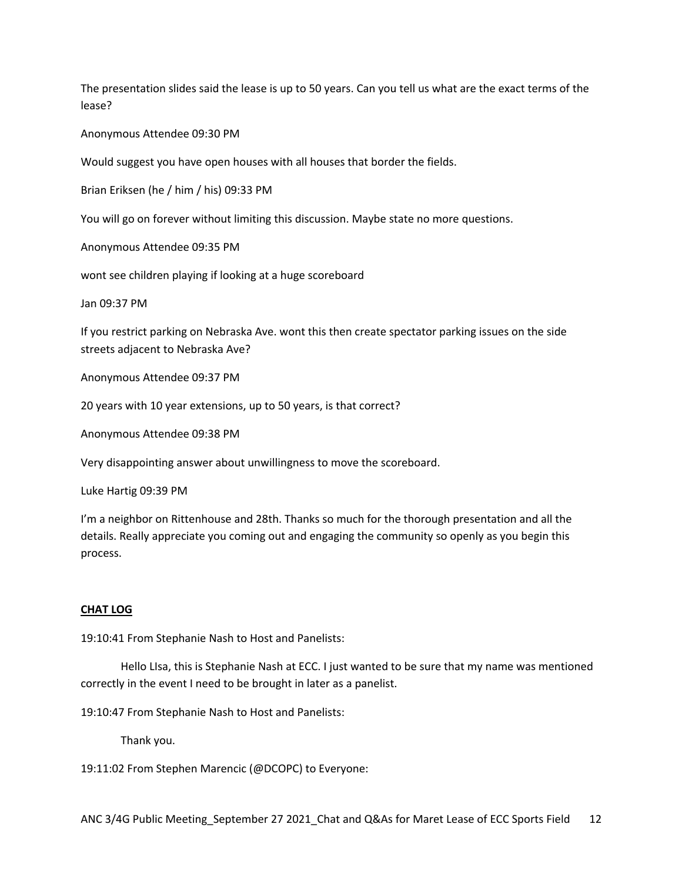The presentation slides said the lease is up to 50 years. Can you tell us what are the exact terms of the lease?

Anonymous Attendee 09:30 PM

Would suggest you have open houses with all houses that border the fields.

Brian Eriksen (he / him / his) 09:33 PM

You will go on forever without limiting this discussion. Maybe state no more questions.

Anonymous Attendee 09:35 PM

wont see children playing if looking at a huge scoreboard

Jan 09:37 PM

If you restrict parking on Nebraska Ave. wont this then create spectator parking issues on the side streets adjacent to Nebraska Ave?

Anonymous Attendee 09:37 PM

20 years with 10 year extensions, up to 50 years, is that correct?

Anonymous Attendee 09:38 PM

Very disappointing answer about unwillingness to move the scoreboard.

Luke Hartig 09:39 PM

I'm a neighbor on Rittenhouse and 28th. Thanks so much for the thorough presentation and all the details. Really appreciate you coming out and engaging the community so openly as you begin this process.

#### **CHAT LOG**

19:10:41 From Stephanie Nash to Host and Panelists:

Hello LIsa, this is Stephanie Nash at ECC. I just wanted to be sure that my name was mentioned correctly in the event I need to be brought in later as a panelist.

19:10:47 From Stephanie Nash to Host and Panelists:

Thank you.

19:11:02 From Stephen Marencic (@DCOPC) to Everyone: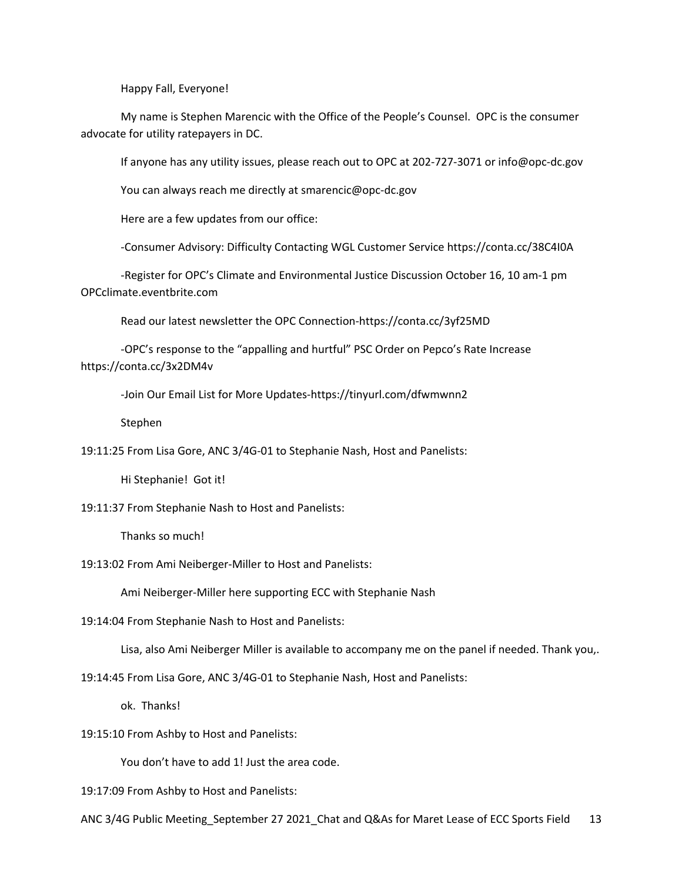Happy Fall, Everyone!

My name is Stephen Marencic with the Office of the People's Counsel. OPC is the consumer advocate for utility ratepayers in DC.

If anyone has any utility issues, please reach out to OPC at 202-727-3071 or info@opc-dc.gov

You can always reach me directly at smarencic@opc-dc.gov

Here are a few updates from our office:

-Consumer Advisory: Difficulty Contacting WGL Customer Service https://conta.cc/38C4I0A

-Register for OPC's Climate and Environmental Justice Discussion October 16, 10 am-1 pm OPCclimate.eventbrite.com

Read our latest newsletter the OPC Connection-https://conta.cc/3yf25MD

-OPC's response to the "appalling and hurtful" PSC Order on Pepco's Rate Increase https://conta.cc/3x2DM4v

-Join Our Email List for More Updates-https://tinyurl.com/dfwmwnn2

Stephen

19:11:25 From Lisa Gore, ANC 3/4G-01 to Stephanie Nash, Host and Panelists:

Hi Stephanie! Got it!

19:11:37 From Stephanie Nash to Host and Panelists:

Thanks so much!

19:13:02 From Ami Neiberger-Miller to Host and Panelists:

Ami Neiberger-Miller here supporting ECC with Stephanie Nash

19:14:04 From Stephanie Nash to Host and Panelists:

Lisa, also Ami Neiberger Miller is available to accompany me on the panel if needed. Thank you,.

19:14:45 From Lisa Gore, ANC 3/4G-01 to Stephanie Nash, Host and Panelists:

ok. Thanks!

19:15:10 From Ashby to Host and Panelists:

You don't have to add 1! Just the area code.

19:17:09 From Ashby to Host and Panelists: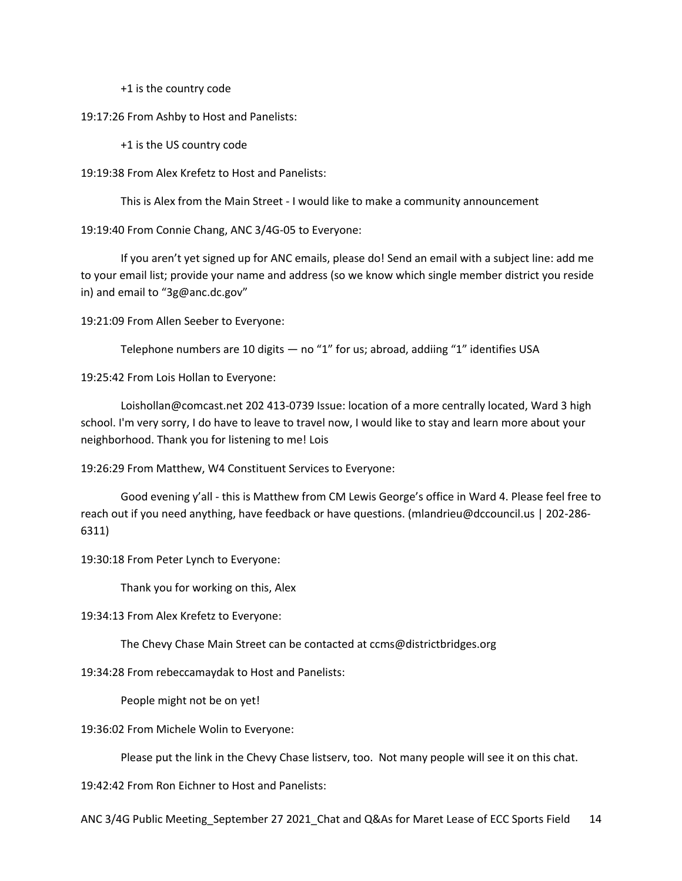+1 is the country code

19:17:26 From Ashby to Host and Panelists:

+1 is the US country code

19:19:38 From Alex Krefetz to Host and Panelists:

This is Alex from the Main Street - I would like to make a community announcement

19:19:40 From Connie Chang, ANC 3/4G-05 to Everyone:

If you aren't yet signed up for ANC emails, please do! Send an email with a subject line: add me to your email list; provide your name and address (so we know which single member district you reside in) and email to "3g@anc.dc.gov"

19:21:09 From Allen Seeber to Everyone:

Telephone numbers are 10 digits  $-$  no "1" for us; abroad, addiing "1" identifies USA

19:25:42 From Lois Hollan to Everyone:

Loishollan@comcast.net 202 413-0739 Issue: location of a more centrally located, Ward 3 high school. I'm very sorry, I do have to leave to travel now, I would like to stay and learn more about your neighborhood. Thank you for listening to me! Lois

19:26:29 From Matthew, W4 Constituent Services to Everyone:

Good evening y'all - this is Matthew from CM Lewis George's office in Ward 4. Please feel free to reach out if you need anything, have feedback or have questions. (mlandrieu@dccouncil.us | 202-286- 6311)

19:30:18 From Peter Lynch to Everyone:

Thank you for working on this, Alex

19:34:13 From Alex Krefetz to Everyone:

The Chevy Chase Main Street can be contacted at ccms@districtbridges.org

19:34:28 From rebeccamaydak to Host and Panelists:

People might not be on yet!

19:36:02 From Michele Wolin to Everyone:

Please put the link in the Chevy Chase listserv, too. Not many people will see it on this chat.

19:42:42 From Ron Eichner to Host and Panelists: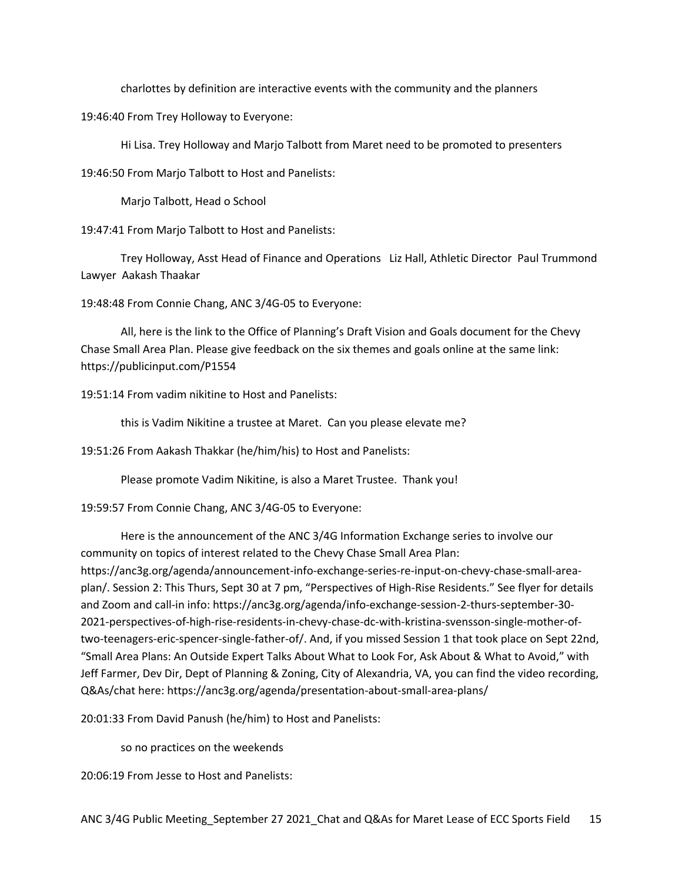charlottes by definition are interactive events with the community and the planners

19:46:40 From Trey Holloway to Everyone:

Hi Lisa. Trey Holloway and Marjo Talbott from Maret need to be promoted to presenters

19:46:50 From Marjo Talbott to Host and Panelists:

Marjo Talbott, Head o School

19:47:41 From Marjo Talbott to Host and Panelists:

Trey Holloway, Asst Head of Finance and Operations Liz Hall, Athletic Director Paul Trummond Lawyer Aakash Thaakar

19:48:48 From Connie Chang, ANC 3/4G-05 to Everyone:

All, here is the link to the Office of Planning's Draft Vision and Goals document for the Chevy Chase Small Area Plan. Please give feedback on the six themes and goals online at the same link: https://publicinput.com/P1554

19:51:14 From vadim nikitine to Host and Panelists:

this is Vadim Nikitine a trustee at Maret. Can you please elevate me?

19:51:26 From Aakash Thakkar (he/him/his) to Host and Panelists:

Please promote Vadim Nikitine, is also a Maret Trustee. Thank you!

19:59:57 From Connie Chang, ANC 3/4G-05 to Everyone:

Here is the announcement of the ANC 3/4G Information Exchange series to involve our community on topics of interest related to the Chevy Chase Small Area Plan: https://anc3g.org/agenda/announcement-info-exchange-series-re-input-on-chevy-chase-small-areaplan/. Session 2: This Thurs, Sept 30 at 7 pm, "Perspectives of High-Rise Residents." See flyer for details and Zoom and call-in info: https://anc3g.org/agenda/info-exchange-session-2-thurs-september-30- 2021-perspectives-of-high-rise-residents-in-chevy-chase-dc-with-kristina-svensson-single-mother-oftwo-teenagers-eric-spencer-single-father-of/. And, if you missed Session 1 that took place on Sept 22nd, "Small Area Plans: An Outside Expert Talks About What to Look For, Ask About & What to Avoid," with Jeff Farmer, Dev Dir, Dept of Planning & Zoning, City of Alexandria, VA, you can find the video recording, Q&As/chat here: https://anc3g.org/agenda/presentation-about-small-area-plans/

20:01:33 From David Panush (he/him) to Host and Panelists:

so no practices on the weekends

20:06:19 From Jesse to Host and Panelists: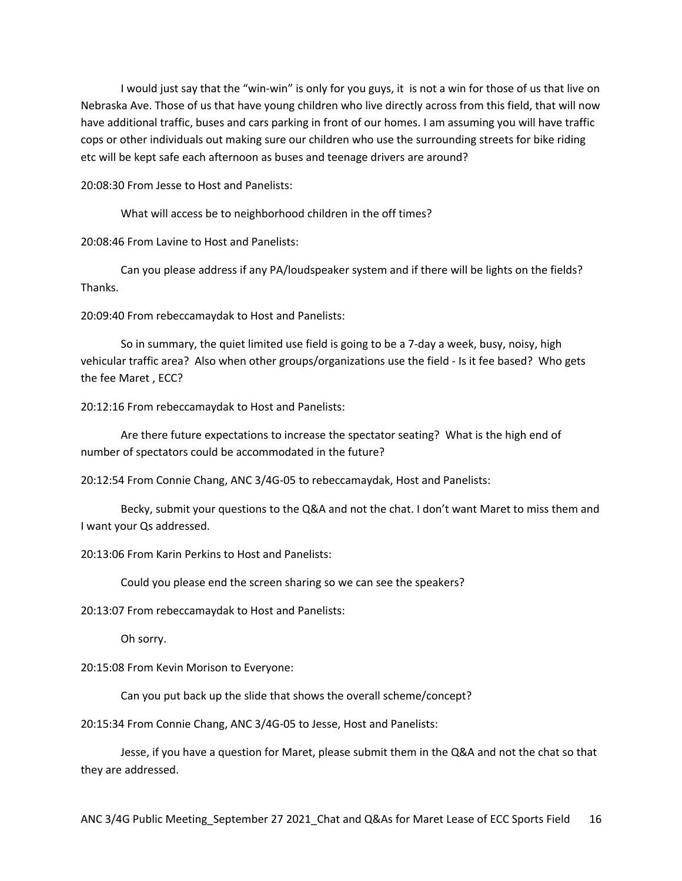I would just say that the "win-win" is only for you guys, it is not a win for those of us that live on Nebraska Ave. Those of us that have young children who live directly across from this field, that will now have additional traffic, buses and cars parking in front of our homes. I am assuming you will have traffic cops or other individuals out making sure our children who use the surrounding streets for bike riding etc will be kept safe each afternoon as buses and teenage drivers are around?

20:08:30 From Jesse to Host and Panelists:

What will access be to neighborhood children in the off times?

20:08:46 From Lavine to Host and Panelists:

Can you please address if any PA/loudspeaker system and if there will be lights on the fields? Thanks.

20:09:40 From rebeccamaydak to Host and Panelists:

So in summary, the quiet limited use field is going to be a 7-day a week, busy, noisy, high vehicular traffic area? Also when other groups/organizations use the field - Is it fee based? Who gets the fee Maret , ECC?

20:12:16 From rebeccamaydak to Host and Panelists:

Are there future expectations to increase the spectator seating? What is the high end of number of spectators could be accommodated in the future?

20:12:54 From Connie Chang, ANC 3/4G-05 to rebeccamaydak, Host and Panelists:

Becky, submit your questions to the Q&A and not the chat. I don't want Maret to miss them and I want your Qs addressed.

20:13:06 From Karin Perkins to Host and Panelists:

Could you please end the screen sharing so we can see the speakers?

20:13:07 From rebeccamaydak to Host and Panelists:

Oh sorry.

20:15:08 From Kevin Morison to Everyone:

Can you put back up the slide that shows the overall scheme/concept?

20:15:34 From Connie Chang, ANC 3/4G-05 to Jesse, Host and Panelists:

Jesse, if you have a question for Maret, please submit them in the Q&A and not the chat so that they are addressed.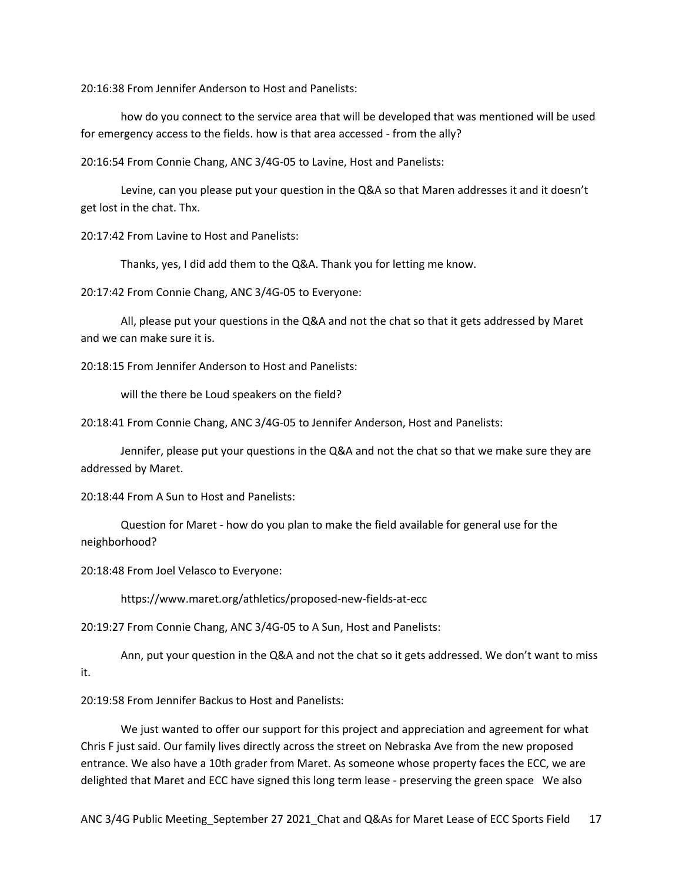20:16:38 From Jennifer Anderson to Host and Panelists:

how do you connect to the service area that will be developed that was mentioned will be used for emergency access to the fields. how is that area accessed - from the ally?

20:16:54 From Connie Chang, ANC 3/4G-05 to Lavine, Host and Panelists:

Levine, can you please put your question in the Q&A so that Maren addresses it and it doesn't get lost in the chat. Thx.

20:17:42 From Lavine to Host and Panelists:

Thanks, yes, I did add them to the Q&A. Thank you for letting me know.

20:17:42 From Connie Chang, ANC 3/4G-05 to Everyone:

All, please put your questions in the Q&A and not the chat so that it gets addressed by Maret and we can make sure it is.

20:18:15 From Jennifer Anderson to Host and Panelists:

will the there be Loud speakers on the field?

20:18:41 From Connie Chang, ANC 3/4G-05 to Jennifer Anderson, Host and Panelists:

Jennifer, please put your questions in the Q&A and not the chat so that we make sure they are addressed by Maret.

20:18:44 From A Sun to Host and Panelists:

Question for Maret - how do you plan to make the field available for general use for the neighborhood?

20:18:48 From Joel Velasco to Everyone:

https://www.maret.org/athletics/proposed-new-fields-at-ecc

20:19:27 From Connie Chang, ANC 3/4G-05 to A Sun, Host and Panelists:

Ann, put your question in the Q&A and not the chat so it gets addressed. We don't want to miss it.

20:19:58 From Jennifer Backus to Host and Panelists:

We just wanted to offer our support for this project and appreciation and agreement for what Chris F just said. Our family lives directly across the street on Nebraska Ave from the new proposed entrance. We also have a 10th grader from Maret. As someone whose property faces the ECC, we are delighted that Maret and ECC have signed this long term lease - preserving the green space We also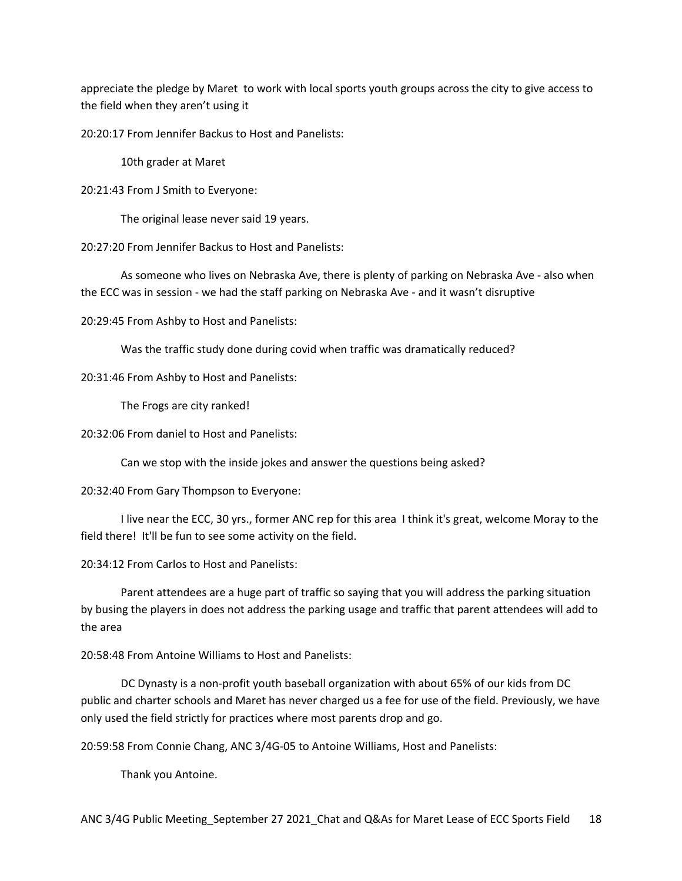appreciate the pledge by Maret to work with local sports youth groups across the city to give access to the field when they aren't using it

20:20:17 From Jennifer Backus to Host and Panelists:

10th grader at Maret

20:21:43 From J Smith to Everyone:

The original lease never said 19 years.

20:27:20 From Jennifer Backus to Host and Panelists:

As someone who lives on Nebraska Ave, there is plenty of parking on Nebraska Ave - also when the ECC was in session - we had the staff parking on Nebraska Ave - and it wasn't disruptive

20:29:45 From Ashby to Host and Panelists:

Was the traffic study done during covid when traffic was dramatically reduced?

20:31:46 From Ashby to Host and Panelists:

The Frogs are city ranked!

20:32:06 From daniel to Host and Panelists:

Can we stop with the inside jokes and answer the questions being asked?

20:32:40 From Gary Thompson to Everyone:

I live near the ECC, 30 yrs., former ANC rep for this area I think it's great, welcome Moray to the field there! It'll be fun to see some activity on the field.

20:34:12 From Carlos to Host and Panelists:

Parent attendees are a huge part of traffic so saying that you will address the parking situation by busing the players in does not address the parking usage and traffic that parent attendees will add to the area

20:58:48 From Antoine Williams to Host and Panelists:

DC Dynasty is a non-profit youth baseball organization with about 65% of our kids from DC public and charter schools and Maret has never charged us a fee for use of the field. Previously, we have only used the field strictly for practices where most parents drop and go.

20:59:58 From Connie Chang, ANC 3/4G-05 to Antoine Williams, Host and Panelists:

Thank you Antoine.